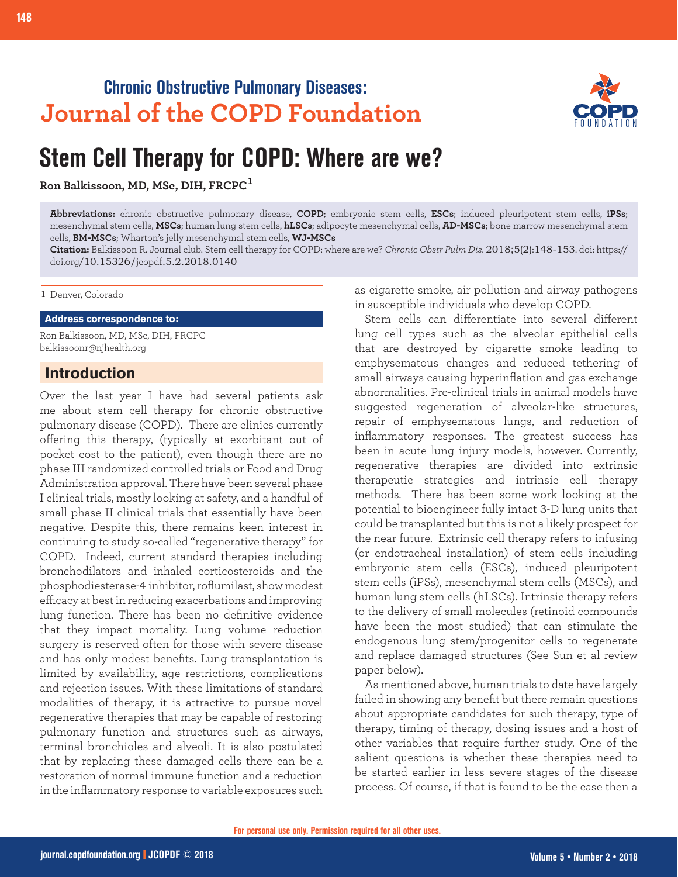## **Chronic Obstructive Pulmonary Diseases: Journal of the COPD Foundation**



# **Stem Cell Therapy for COPD: Where are we?**

**Ron Balkissoon, MD, MSc, DIH, FRCPC<sup>1</sup>**

**Abbreviations:** chronic obstructive pulmonary disease, **COPD**; embryonic stem cells, **ESCs**; induced pleuripotent stem cells, **iPSs**; mesenchymal stem cells, **MSCs**; human lung stem cells, **hLSCs**; adipocyte mesenchymal cells, **AD-MSCs**; bone marrow mesenchymal stem cells, **BM-MSCs**; Wharton's jelly mesenchymal stem cells, **WJ-MSCs**

**Citation:** Balkissoon R. Journal club. Stem cell therapy for COPD: where are we? *Chronic Obstr Pulm Dis*. 2018;5(2):148-153. doi: https:// doi.org/10.15326/jcopdf.5.2.2018.0140

1 Denver, Colorado

#### **Address correspondence to:**

**148 Journal Club: Stem Cell Therapy**

Ron Balkissoon, MD, MSc, DIH, FRCPC balkissoonr@njhealth.org

## **Introduction**

Over the last year I have had several patients ask me about stem cell therapy for chronic obstructive pulmonary disease (COPD). There are clinics currently offering this therapy, (typically at exorbitant out of pocket cost to the patient), even though there are no phase III randomized controlled trials or Food and Drug Administration approval. There have been several phase I clinical trials, mostly looking at safety, and a handful of small phase II clinical trials that essentially have been negative. Despite this, there remains keen interest in continuing to study so-called "regenerative therapy" for COPD. Indeed, current standard therapies including bronchodilators and inhaled corticosteroids and the phosphodiesterase-4 inhibitor, roflumilast, show modest efficacy at best in reducing exacerbations and improving lung function. There has been no definitive evidence that they impact mortality. Lung volume reduction surgery is reserved often for those with severe disease and has only modest benefits. Lung transplantation is limited by availability, age restrictions, complications and rejection issues. With these limitations of standard modalities of therapy, it is attractive to pursue novel regenerative therapies that may be capable of restoring pulmonary function and structures such as airways, terminal bronchioles and alveoli. It is also postulated that by replacing these damaged cells there can be a restoration of normal immune function and a reduction in the inflammatory response to variable exposures such

as cigarette smoke, air pollution and airway pathogens in susceptible individuals who develop COPD.

Stem cells can differentiate into several different lung cell types such as the alveolar epithelial cells that are destroyed by cigarette smoke leading to emphysematous changes and reduced tethering of small airways causing hyperinflation and gas exchange abnormalities. Pre-clinical trials in animal models have suggested regeneration of alveolar-like structures, repair of emphysematous lungs, and reduction of inflammatory responses. The greatest success has been in acute lung injury models, however. Currently, regenerative therapies are divided into extrinsic therapeutic strategies and intrinsic cell therapy methods. There has been some work looking at the potential to bioengineer fully intact 3-D lung units that could be transplanted but this is not a likely prospect for the near future. Extrinsic cell therapy refers to infusing (or endotracheal installation) of stem cells including embryonic stem cells (ESCs), induced pleuripotent stem cells (iPSs), mesenchymal stem cells (MSCs), and human lung stem cells (hLSCs). Intrinsic therapy refers to the delivery of small molecules (retinoid compounds have been the most studied) that can stimulate the endogenous lung stem/progenitor cells to regenerate and replace damaged structures (See Sun et al review paper below).

As mentioned above, human trials to date have largely failed in showing any benefit but there remain questions about appropriate candidates for such therapy, type of therapy, timing of therapy, dosing issues and a host of other variables that require further study. One of the salient questions is whether these therapies need to be started earlier in less severe stages of the disease process. Of course, if that is found to be the case then a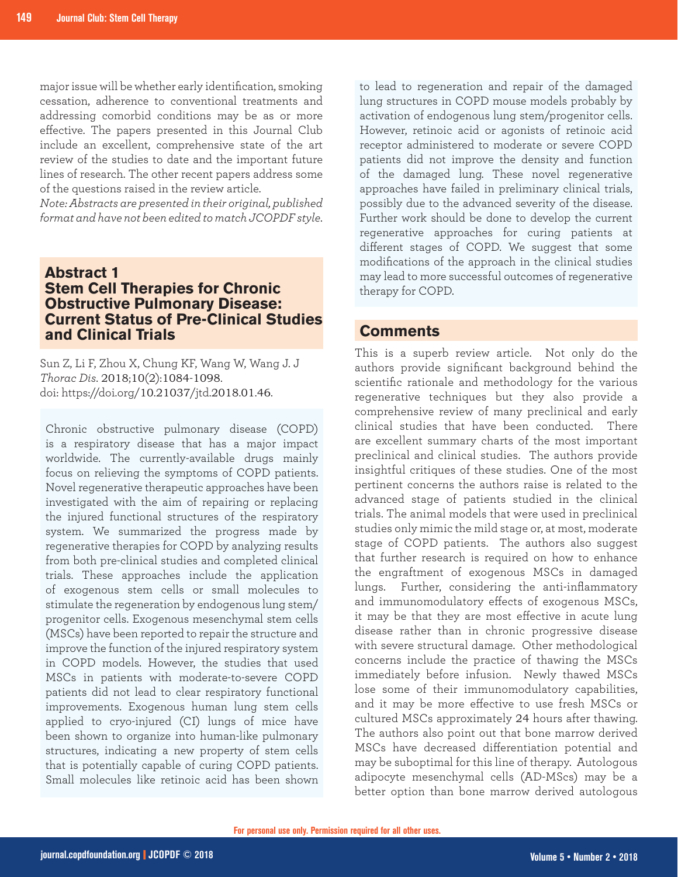major issue will be whether early identification, smoking cessation, adherence to conventional treatments and addressing comorbid conditions may be as or more effective. The papers presented in this Journal Club include an excellent, comprehensive state of the art review of the studies to date and the important future lines of research. The other recent papers address some of the questions raised in the review article.

*Note: Abstracts are presented in their original, published format and have not been edited to match JCOPDF style.*

## **Abstract 1 Stem Cell Therapies for Chronic Obstructive Pulmonary Disease: Current Status of Pre-Clinical Studies and Clinical Trials**

Sun Z, Li F, Zhou X, Chung KF, Wang W, Wang J. J *Thorac Dis*. 2018;10(2):1084-1098. doi: https://doi.org/10.21037/jtd.2018.01.46.

Chronic obstructive pulmonary disease (COPD) is a respiratory disease that has a major impact worldwide. The currently-available drugs mainly focus on relieving the symptoms of COPD patients. Novel regenerative therapeutic approaches have been investigated with the aim of repairing or replacing the injured functional structures of the respiratory system. We summarized the progress made by regenerative therapies for COPD by analyzing results from both pre-clinical studies and completed clinical trials. These approaches include the application of exogenous stem cells or small molecules to stimulate the regeneration by endogenous lung stem/ progenitor cells. Exogenous mesenchymal stem cells (MSCs) have been reported to repair the structure and improve the function of the injured respiratory system in COPD models. However, the studies that used MSCs in patients with moderate-to-severe COPD patients did not lead to clear respiratory functional improvements. Exogenous human lung stem cells applied to cryo-injured (CI) lungs of mice have been shown to organize into human-like pulmonary structures, indicating a new property of stem cells that is potentially capable of curing COPD patients. Small molecules like retinoic acid has been shown to lead to regeneration and repair of the damaged lung structures in COPD mouse models probably by activation of endogenous lung stem/progenitor cells. However, retinoic acid or agonists of retinoic acid receptor administered to moderate or severe COPD patients did not improve the density and function of the damaged lung. These novel regenerative approaches have failed in preliminary clinical trials, possibly due to the advanced severity of the disease. Further work should be done to develop the current regenerative approaches for curing patients at different stages of COPD. We suggest that some modifications of the approach in the clinical studies may lead to more successful outcomes of regenerative therapy for COPD.

## **Comments**

This is a superb review article. Not only do the authors provide significant background behind the scientific rationale and methodology for the various regenerative techniques but they also provide a comprehensive review of many preclinical and early clinical studies that have been conducted. There are excellent summary charts of the most important preclinical and clinical studies. The authors provide insightful critiques of these studies. One of the most pertinent concerns the authors raise is related to the advanced stage of patients studied in the clinical trials. The animal models that were used in preclinical studies only mimic the mild stage or, at most, moderate stage of COPD patients. The authors also suggest that further research is required on how to enhance the engraftment of exogenous MSCs in damaged lungs. Further, considering the anti-inflammatory and immunomodulatory effects of exogenous MSCs, it may be that they are most effective in acute lung disease rather than in chronic progressive disease with severe structural damage. Other methodological concerns include the practice of thawing the MSCs immediately before infusion. Newly thawed MSCs lose some of their immunomodulatory capabilities, and it may be more effective to use fresh MSCs or cultured MSCs approximately 24 hours after thawing. The authors also point out that bone marrow derived MSCs have decreased differentiation potential and may be suboptimal for this line of therapy. Autologous adipocyte mesenchymal cells (AD-MScs) may be a better option than bone marrow derived autologous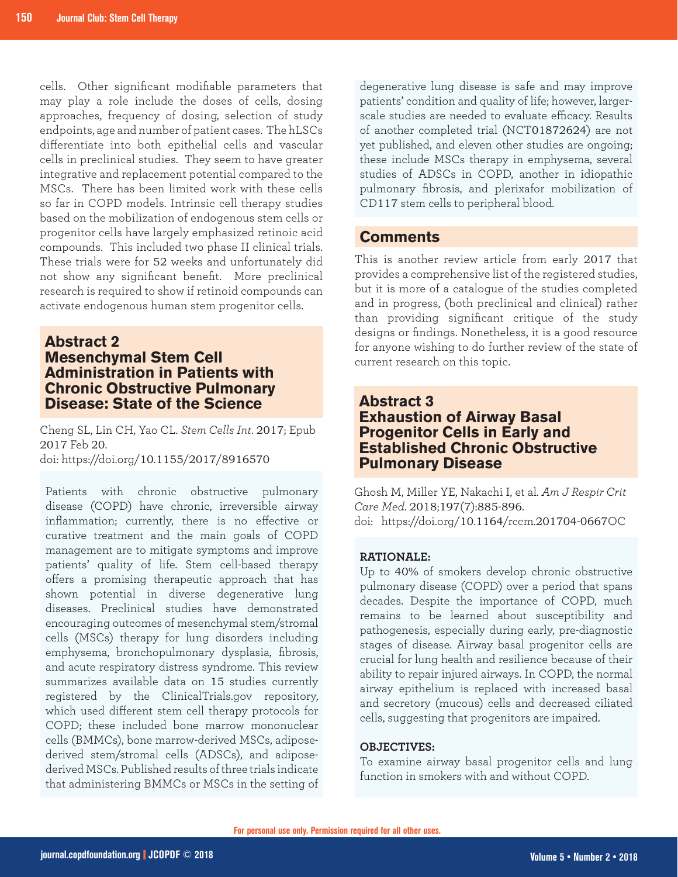cells. Other significant modifiable parameters that may play a role include the doses of cells, dosing approaches, frequency of dosing, selection of study endpoints, age and number of patient cases. The hLSCs differentiate into both epithelial cells and vascular cells in preclinical studies. They seem to have greater integrative and replacement potential compared to the MSCs. There has been limited work with these cells so far in COPD models. Intrinsic cell therapy studies based on the mobilization of endogenous stem cells or progenitor cells have largely emphasized retinoic acid compounds. This included two phase II clinical trials. These trials were for 52 weeks and unfortunately did not show any significant benefit. More preclinical research is required to show if retinoid compounds can activate endogenous human stem progenitor cells.

## **Abstract 2 Mesenchymal Stem Cell Administration in Patients with Chronic Obstructive Pulmonary Disease: State of the Science**

Cheng SL, Lin CH, Yao CL. *Stem Cells Int*. 2017; Epub 2017 Feb 20. doi: https://doi.org/10.1155/2017/8916570

Patients with chronic obstructive pulmonary disease (COPD) have chronic, irreversible airway inflammation; currently, there is no effective or curative treatment and the main goals of COPD management are to mitigate symptoms and improve patients' quality of life. Stem cell-based therapy offers a promising therapeutic approach that has shown potential in diverse degenerative lung diseases. Preclinical studies have demonstrated encouraging outcomes of mesenchymal stem/stromal cells (MSCs) therapy for lung disorders including emphysema, bronchopulmonary dysplasia, fibrosis, and acute respiratory distress syndrome. This review summarizes available data on 15 studies currently registered by the ClinicalTrials.gov repository, which used different stem cell therapy protocols for COPD; these included bone marrow mononuclear cells (BMMCs), bone marrow-derived MSCs, adiposederived stem/stromal cells (ADSCs), and adiposederived MSCs. Published results of three trials indicate that administering BMMCs or MSCs in the setting of

degenerative lung disease is safe and may improve patients' condition and quality of life; however, largerscale studies are needed to evaluate efficacy. Results of another completed trial (NCT01872624) are not yet published, and eleven other studies are ongoing; these include MSCs therapy in emphysema, several studies of ADSCs in COPD, another in idiopathic pulmonary fibrosis, and plerixafor mobilization of CD117 stem cells to peripheral blood.

## **Comments**

This is another review article from early 2017 that provides a comprehensive list of the registered studies, but it is more of a catalogue of the studies completed and in progress, (both preclinical and clinical) rather than providing significant critique of the study designs or findings. Nonetheless, it is a good resource for anyone wishing to do further review of the state of current research on this topic.

## **Abstract 3 Exhaustion of Airway Basal Progenitor Cells in Early and Established Chronic Obstructive Pulmonary Disease**

Ghosh M, Miller YE, Nakachi I, et al. *Am J Respir Crit Care Med*. 2018;197(7):885-896. doi: https://doi.org/10.1164/rccm.201704-0667OC

### **RATIONALE:**

Up to 40% of smokers develop chronic obstructive pulmonary disease (COPD) over a period that spans decades. Despite the importance of COPD, much remains to be learned about susceptibility and pathogenesis, especially during early, pre-diagnostic stages of disease. Airway basal progenitor cells are crucial for lung health and resilience because of their ability to repair injured airways. In COPD, the normal airway epithelium is replaced with increased basal and secretory (mucous) cells and decreased ciliated cells, suggesting that progenitors are impaired.

#### **OBJECTIVES:**

To examine airway basal progenitor cells and lung function in smokers with and without COPD.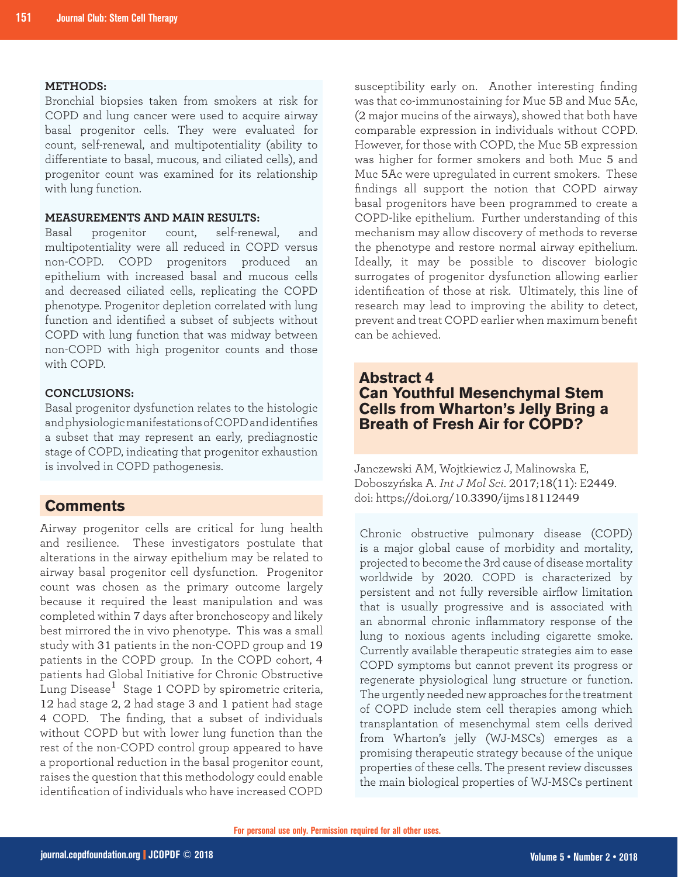#### **METHODS:**

Bronchial biopsies taken from smokers at risk for COPD and lung cancer were used to acquire airway basal progenitor cells. They were evaluated for count, self-renewal, and multipotentiality (ability to differentiate to basal, mucous, and ciliated cells), and progenitor count was examined for its relationship with lung function.

#### **MEASUREMENTS AND MAIN RESULTS:**

Basal progenitor count, self-renewal, and multipotentiality were all reduced in COPD versus non-COPD. COPD progenitors produced an epithelium with increased basal and mucous cells and decreased ciliated cells, replicating the COPD phenotype. Progenitor depletion correlated with lung function and identified a subset of subjects without COPD with lung function that was midway between non-COPD with high progenitor counts and those with COPD.

#### **CONCLUSIONS:**

Basal progenitor dysfunction relates to the histologic and physiologic manifestations of COPD and identifies a subset that may represent an early, prediagnostic stage of COPD, indicating that progenitor exhaustion is involved in COPD pathogenesis.

## **Comments**

Airway progenitor cells are critical for lung health and resilience. These investigators postulate that alterations in the airway epithelium may be related to airway basal progenitor cell dysfunction. Progenitor count was chosen as the primary outcome largely because it required the least manipulation and was completed within 7 days after bronchoscopy and likely best mirrored the in vivo phenotype. This was a small study with 31 patients in the non-COPD group and 19 patients in the COPD group. In the COPD cohort, 4 patients had Global Initiative for Chronic Obstructive Lung Disease<sup>1</sup> Stage 1 COPD by spirometric criteria, 12 had stage 2, 2 had stage 3 and 1 patient had stage 4 COPD. The finding, that a subset of individuals without COPD but with lower lung function than the rest of the non-COPD control group appeared to have a proportional reduction in the basal progenitor count, raises the question that this methodology could enable identification of individuals who have increased COPD

susceptibility early on. Another interesting finding was that co-immunostaining for Muc 5B and Muc 5Ac, (2 major mucins of the airways), showed that both have comparable expression in individuals without COPD. However, for those with COPD, the Muc 5B expression was higher for former smokers and both Muc 5 and Muc 5Ac were upregulated in current smokers. These findings all support the notion that COPD airway basal progenitors have been programmed to create a COPD-like epithelium. Further understanding of this mechanism may allow discovery of methods to reverse the phenotype and restore normal airway epithelium. Ideally, it may be possible to discover biologic surrogates of progenitor dysfunction allowing earlier identification of those at risk. Ultimately, this line of research may lead to improving the ability to detect, prevent and treat COPD earlier when maximum benefit can be achieved.

## **Abstract 4 Can Youthful Mesenchymal Stem Cells from Wharton's Jelly Bring a Breath of Fresh Air for COPD?**

Janczewski AM, Wojtkiewicz J, Malinowska E, Doboszyńska A. *Int J Mol Sci*. 2017;18(11): E2449. doi: https://doi.org/10.3390/ijms18112449

Chronic obstructive pulmonary disease (COPD) is a major global cause of morbidity and mortality, projected to become the 3rd cause of disease mortality worldwide by 2020. COPD is characterized by persistent and not fully reversible airflow limitation that is usually progressive and is associated with an abnormal chronic inflammatory response of the lung to noxious agents including cigarette smoke. Currently available therapeutic strategies aim to ease COPD symptoms but cannot prevent its progress or regenerate physiological lung structure or function. The urgently needed new approaches for the treatment of COPD include stem cell therapies among which transplantation of mesenchymal stem cells derived from Wharton's jelly (WJ-MSCs) emerges as a promising therapeutic strategy because of the unique properties of these cells. The present review discusses the main biological properties of WJ-MSCs pertinent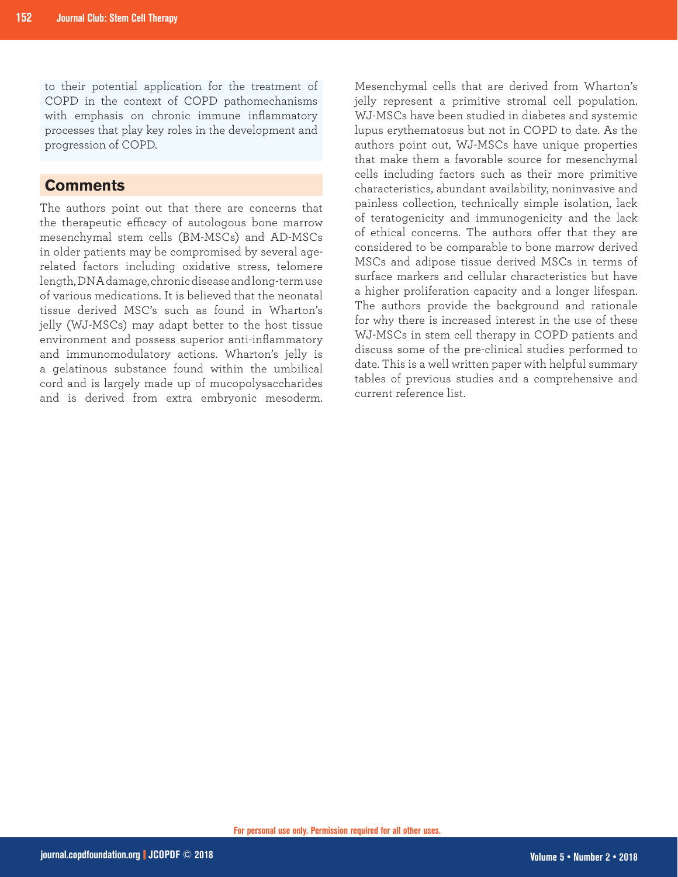to their potential application for the treatment of COPD in the context of COPD pathomechanisms with emphasis on chronic immune inflammatory processes that play key roles in the development and progression of COPD.

## **Comments**

The authors point out that there are concerns that the therapeutic efficacy of autologous bone marrow mesenchymal stem cells (BM-MSCs) and AD-MSCs in older patients may be compromised by several agerelated factors including oxidative stress, telomere length, DNA damage, chronic disease and long-term use of various medications. It is believed that the neonatal tissue derived MSC's such as found in Wharton's jelly (WJ-MSCs) may adapt better to the host tissue environment and possess superior anti-inflammatory and immunomodulatory actions. Wharton's jelly is a gelatinous substance found within the umbilical cord and is largely made up of mucopolysaccharides and is derived from extra embryonic mesoderm.

Mesenchymal cells that are derived from Wharton's jelly represent a primitive stromal cell population. WJ-MSCs have been studied in diabetes and systemic lupus erythematosus but not in COPD to date. As the authors point out, WJ-MSCs have unique properties that make them a favorable source for mesenchymal cells including factors such as their more primitive characteristics, abundant availability, noninvasive and painless collection, technically simple isolation, lack of teratogenicity and immunogenicity and the lack of ethical concerns. The authors offer that they are considered to be comparable to bone marrow derived MSCs and adipose tissue derived MSCs in terms of surface markers and cellular characteristics but have a higher proliferation capacity and a longer lifespan. The authors provide the background and rationale for why there is increased interest in the use of these WJ-MSCs in stem cell therapy in COPD patients and discuss some of the pre-clinical studies performed to date. This is a well written paper with helpful summary tables of previous studies and a comprehensive and current reference list.